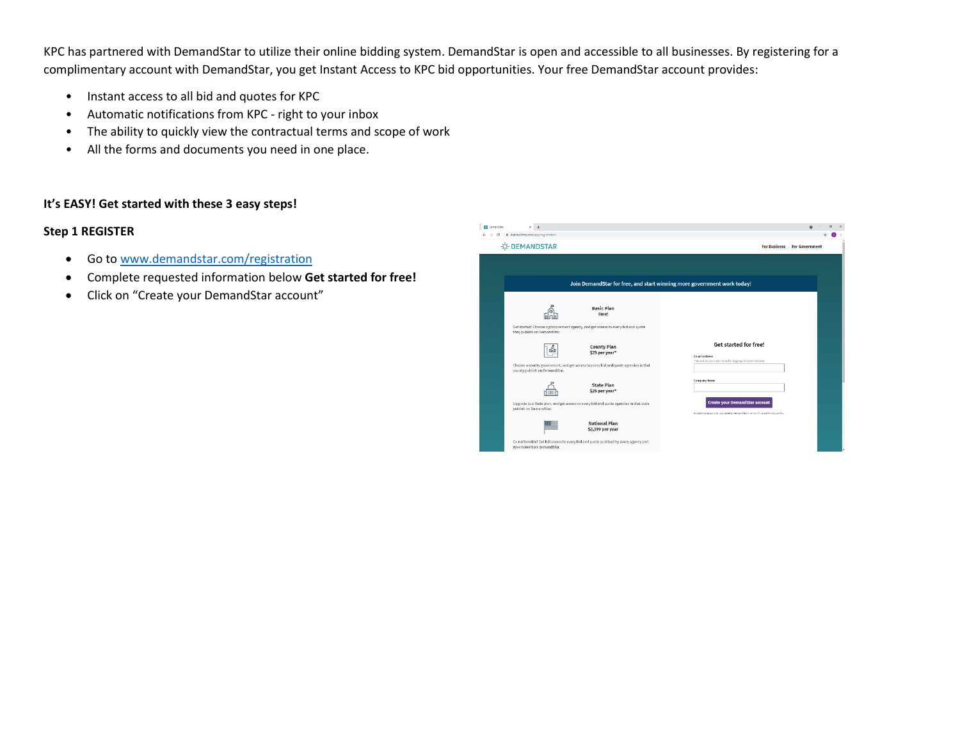KPC has partnered with DemandStar to utilize their online bidding system. DemandStar is open and accessible to all businesses. By registering for a complimentary account with DemandStar, you get Instant Access to KPC bid opportunities. Your free DemandStar account provides:

- Instant access to all bid and quotes for KPC
- Automatic notifications from KPC right to your inbox
- The ability to quickly view the contractual terms and scope of work
- All the forms and documents you need in one place.

## **It's EASY! Get started with these 3 easy steps!**

## **Step 1 REGISTER**

- Go to [www.demandstar.com/registration](http://www.demandstar.com/registration)
- Complete requested information below **Get started for free!**
- Click on "Create your DemandStar account"

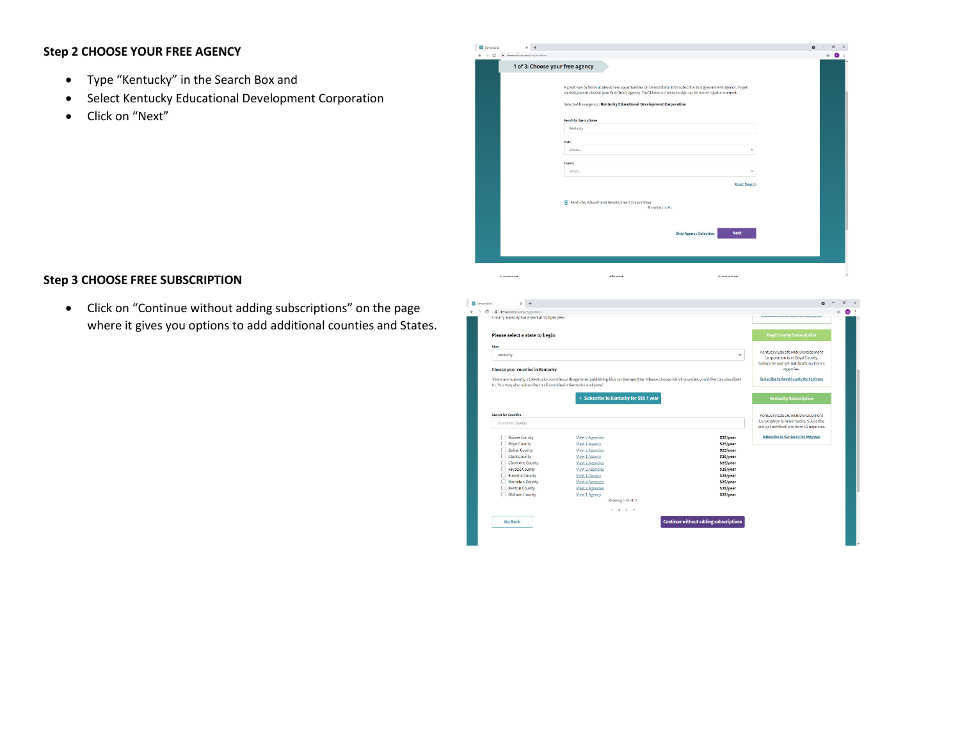## **Step 2 CHOOSE YOUR FREE AGENCY**

- Type "Kentucky" in the Search Box and
- Select Kentucky Educational Development Corporation
- Click on "Next"

| <b>Demanditor</b><br>$\times$ +<br>$\leftarrow$ $\rightarrow$ C<br># demandstar.com/registration |                                                                                                                                                                                                                                                                                                    | $\sigma$<br>$\circ$<br>Ŷr.<br>o |
|--------------------------------------------------------------------------------------------------|----------------------------------------------------------------------------------------------------------------------------------------------------------------------------------------------------------------------------------------------------------------------------------------------------|---------------------------------|
|                                                                                                  | 1 of 3: Choose your free agency                                                                                                                                                                                                                                                                    |                                 |
|                                                                                                  | A great way to find out about new opportunities on DemandStar is to subscribe to a government agency. To get<br>started, please choose your first (free!) agency. You'll have a chance to sign up for more in just a moment.<br>Selected free agency: Kentucky Educational Development Corporation |                                 |
|                                                                                                  | <b>Search by Agency Name</b>                                                                                                                                                                                                                                                                       |                                 |
|                                                                                                  | Kentucky                                                                                                                                                                                                                                                                                           |                                 |
|                                                                                                  | State<br>Select<br>$\checkmark$                                                                                                                                                                                                                                                                    |                                 |
|                                                                                                  | County                                                                                                                                                                                                                                                                                             |                                 |
|                                                                                                  | Select<br>$\checkmark$                                                                                                                                                                                                                                                                             |                                 |
|                                                                                                  | <b>Reset Search</b>                                                                                                                                                                                                                                                                                |                                 |
|                                                                                                  | Kentucky Educational Development Corporation<br>Showing 1-1 of 1                                                                                                                                                                                                                                   |                                 |
|                                                                                                  | <b>Next</b><br><b>Skip Agency Selection</b>                                                                                                                                                                                                                                                        |                                 |
|                                                                                                  |                                                                                                                                                                                                                                                                                                    |                                 |
| Contact                                                                                          | About<br>Cunnack                                                                                                                                                                                                                                                                                   |                                 |

## **Step 3 CHOOSE FREE SUBSCRIPTION**

• Click on "Continue without adding subscriptions" on the page where it gives you options to add additional counties and States.

| <b>DemandStar</b><br>$\times$<br>$\ddot{}$                  |                                                                                                                                             |                                         |                                              |                                                                                                                       |   | $\sigma$<br>$\times$ |
|-------------------------------------------------------------|---------------------------------------------------------------------------------------------------------------------------------------------|-----------------------------------------|----------------------------------------------|-----------------------------------------------------------------------------------------------------------------------|---|----------------------|
| $\epsilon \rightarrow c$<br>iii demandstar.com/registration |                                                                                                                                             |                                         |                                              |                                                                                                                       | ŵ | $\bullet$            |
| County subscriptions start at 525 per year.                 |                                                                                                                                             |                                         |                                              | <u> sacara da san da camara da camara da antigar da sensa da sensa da sensa da contra da sensa da sensa da sensa </u> |   |                      |
|                                                             |                                                                                                                                             |                                         |                                              |                                                                                                                       |   |                      |
| Please select a state to begin                              |                                                                                                                                             |                                         |                                              | <b>Boyd County Subscription</b>                                                                                       |   |                      |
|                                                             |                                                                                                                                             |                                         |                                              |                                                                                                                       |   |                      |
| State                                                       |                                                                                                                                             |                                         |                                              | Kentucky Educational Development                                                                                      |   |                      |
| Kentucky                                                    |                                                                                                                                             |                                         | $\checkmark$                                 | Corporation is in Boyd County.                                                                                        |   |                      |
|                                                             |                                                                                                                                             |                                         |                                              | Subscribe and get notifications from 1                                                                                |   |                      |
| Choose your counties in Kentucky                            |                                                                                                                                             |                                         |                                              | agencies.                                                                                                             |   |                      |
|                                                             | There are currently 11 Kentucky counties with agencies publishing bids on DemandStar. Please choose which counties you'd like to subscribed |                                         |                                              | Subscribe to Boyd County for \$25/year                                                                                |   |                      |
|                                                             | to. You may also subscribe to all counties in Kentucky and save!                                                                            |                                         |                                              |                                                                                                                       |   |                      |
|                                                             |                                                                                                                                             |                                         |                                              |                                                                                                                       |   |                      |
|                                                             |                                                                                                                                             | + Subscribe to Kentucky for \$50 / year |                                              | <b>Kentucky Subscription</b>                                                                                          |   |                      |
|                                                             |                                                                                                                                             |                                         |                                              |                                                                                                                       |   |                      |
| <b>Search for Counties</b>                                  |                                                                                                                                             |                                         |                                              | Kentucky Educational Development                                                                                      |   |                      |
|                                                             |                                                                                                                                             |                                         |                                              | Corporation is in Kentucky, Subscribe                                                                                 |   |                      |
| Search for Counties                                         |                                                                                                                                             |                                         |                                              | and get notifications from 11 agencies.                                                                               |   |                      |
| Boone County                                                |                                                                                                                                             |                                         | \$25/year                                    | Subscribe to Kentucky for \$50/year                                                                                   |   |                      |
| <b>Boyd County</b>                                          | <b>View 2 Agencies</b><br>View 1 Agency                                                                                                     |                                         | \$25/year                                    |                                                                                                                       |   |                      |
| <b>Butler County</b>                                        | <b>View 2 Agencies</b>                                                                                                                      |                                         | \$25/year                                    |                                                                                                                       |   |                      |
| Clark County                                                | View 1 Agency                                                                                                                               |                                         | \$25/year                                    |                                                                                                                       |   |                      |
| Clermont County                                             | View 2 Agencies                                                                                                                             |                                         | \$25/year                                    |                                                                                                                       |   |                      |
| Favette County                                              | View 2 Agencies                                                                                                                             |                                         | \$25/year                                    |                                                                                                                       |   |                      |
| Franklin County                                             | View 1 Agency                                                                                                                               |                                         | \$25/year                                    |                                                                                                                       |   |                      |
| <b>Hamilton County</b>                                      | View 4 Agencies                                                                                                                             |                                         | \$25/year                                    |                                                                                                                       |   |                      |
| <b>Kenton County</b>                                        | View 2 Agencies                                                                                                                             |                                         | \$25/year                                    |                                                                                                                       |   |                      |
| Oldham County                                               | View 1 Agency                                                                                                                               |                                         | \$25/year                                    |                                                                                                                       |   |                      |
|                                                             |                                                                                                                                             | Showing 1-10 of 11                      |                                              |                                                                                                                       |   |                      |
|                                                             |                                                                                                                                             | $-1$ $2$ $>$                            |                                              |                                                                                                                       |   |                      |
|                                                             |                                                                                                                                             |                                         |                                              |                                                                                                                       |   |                      |
| <b>Go Back</b>                                              |                                                                                                                                             |                                         | <b>Continue without adding subscriptions</b> |                                                                                                                       |   |                      |
|                                                             |                                                                                                                                             |                                         |                                              |                                                                                                                       |   |                      |
|                                                             |                                                                                                                                             |                                         |                                              |                                                                                                                       |   |                      |
|                                                             |                                                                                                                                             |                                         |                                              |                                                                                                                       |   |                      |